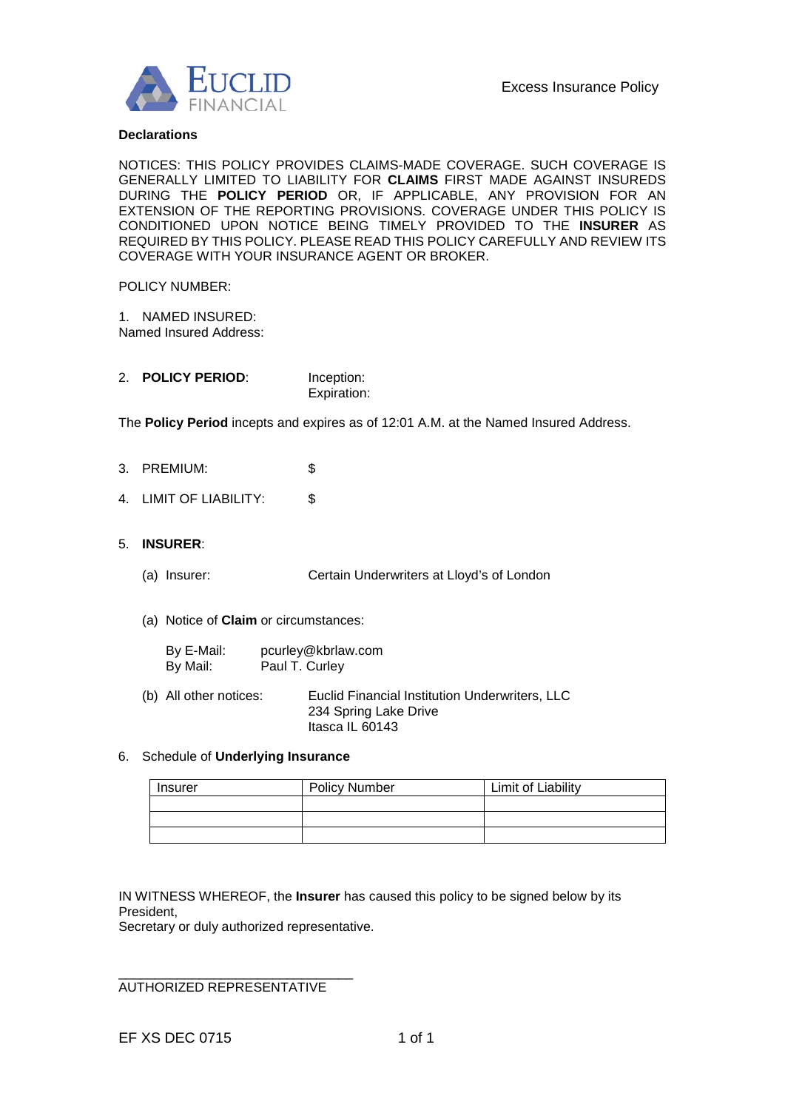

## **Declarations**

NOTICES: THIS POLICY PROVIDES CLAIMS-MADE COVERAGE. SUCH COVERAGE IS GENERALLY LIMITED TO LIABILITY FOR **CLAIMS** FIRST MADE AGAINST INSUREDS DURING THE **POLICY PERIOD** OR, IF APPLICABLE, ANY PROVISION FOR AN EXTENSION OF THE REPORTING PROVISIONS. COVERAGE UNDER THIS POLICY IS CONDITIONED UPON NOTICE BEING TIMELY PROVIDED TO THE **INSURER** AS REQUIRED BY THIS POLICY. PLEASE READ THIS POLICY CAREFULLY AND REVIEW ITS COVERAGE WITH YOUR INSURANCE AGENT OR BROKER.

### POLICY NUMBER:

1. NAMED INSURED: Named Insured Address:

| <b>POLICY PERIOD:</b> | Inception:  |
|-----------------------|-------------|
|                       | Expiration: |

The **Policy Period** incepts and expires as of 12:01 A.M. at the Named Insured Address.

- 3. PREMIUM: \$
- 4. LIMIT OF LIABILITY: \$

## 5. **INSURER**:

- (a) Insurer: Certain Underwriters at Lloyd's of London
- (a) Notice of **Claim** or circumstances:

| By E-Mail: | pcurley@kbrlaw.com |
|------------|--------------------|
| By Mail:   | Paul T. Curley     |

(b) All other notices: Euclid Financial Institution Underwriters, LLC 234 Spring Lake Drive Itasca IL 60143

## 6. Schedule of **Underlying Insurance**

| Insurer | <b>Policy Number</b> | Limit of Liability |
|---------|----------------------|--------------------|
|         |                      |                    |
|         |                      |                    |
|         |                      |                    |

IN WITNESS WHEREOF, the **Insurer** has caused this policy to be signed below by its President,

Secretary or duly authorized representative.

\_\_\_\_\_\_\_\_\_\_\_\_\_\_\_\_\_\_\_\_\_\_\_\_\_\_\_\_\_\_\_\_ AUTHORIZED REPRESENTATIVE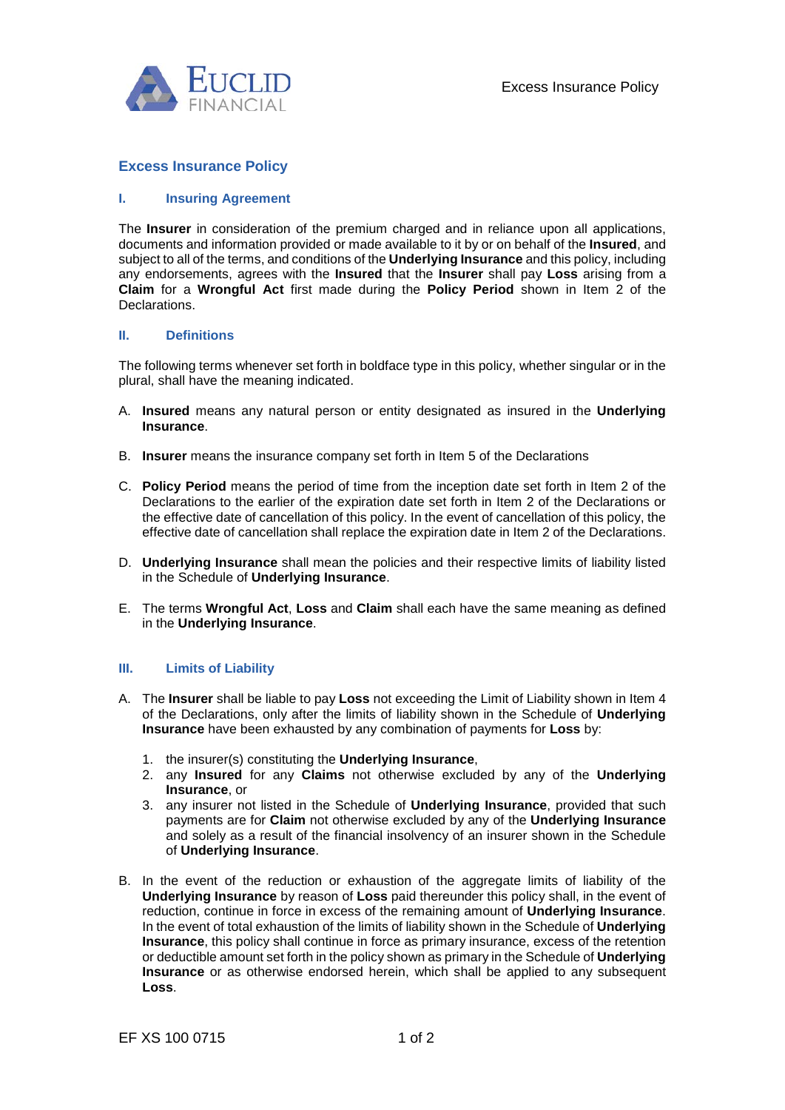

# **Excess Insurance Policy**

## **I. Insuring Agreement**

The **Insurer** in consideration of the premium charged and in reliance upon all applications, documents and information provided or made available to it by or on behalf of the **Insured**, and subject to all of the terms, and conditions of the **Underlying Insurance** and this policy, including any endorsements, agrees with the **Insured** that the **Insurer** shall pay **Loss** arising from a **Claim** for a **Wrongful Act** first made during the **Policy Period** shown in Item 2 of the Declarations.

### **II. Definitions**

The following terms whenever set forth in boldface type in this policy, whether singular or in the plural, shall have the meaning indicated.

- A. **Insured** means any natural person or entity designated as insured in the **Underlying Insurance**.
- B. **Insurer** means the insurance company set forth in Item 5 of the Declarations
- C. **Policy Period** means the period of time from the inception date set forth in Item 2 of the Declarations to the earlier of the expiration date set forth in Item 2 of the Declarations or the effective date of cancellation of this policy. In the event of cancellation of this policy, the effective date of cancellation shall replace the expiration date in Item 2 of the Declarations.
- D. **Underlying Insurance** shall mean the policies and their respective limits of liability listed in the Schedule of **Underlying Insurance**.
- E. The terms **Wrongful Act**, **Loss** and **Claim** shall each have the same meaning as defined in the **Underlying Insurance**.

### **III. Limits of Liability**

- A. The **Insurer** shall be liable to pay **Loss** not exceeding the Limit of Liability shown in Item 4 of the Declarations, only after the limits of liability shown in the Schedule of **Underlying Insurance** have been exhausted by any combination of payments for **Loss** by:
	- 1. the insurer(s) constituting the **Underlying Insurance**,
	- 2. any **Insured** for any **Claims** not otherwise excluded by any of the **Underlying Insurance**, or
	- 3. any insurer not listed in the Schedule of **Underlying Insurance**, provided that such payments are for **Claim** not otherwise excluded by any of the **Underlying Insurance**  and solely as a result of the financial insolvency of an insurer shown in the Schedule of **Underlying Insurance**.
- B. In the event of the reduction or exhaustion of the aggregate limits of liability of the **Underlying Insurance** by reason of **Loss** paid thereunder this policy shall, in the event of reduction, continue in force in excess of the remaining amount of **Underlying Insurance**. In the event of total exhaustion of the limits of liability shown in the Schedule of **Underlying Insurance**, this policy shall continue in force as primary insurance, excess of the retention or deductible amount set forth in the policy shown as primary in the Schedule of **Underlying Insurance** or as otherwise endorsed herein, which shall be applied to any subsequent **Loss**.